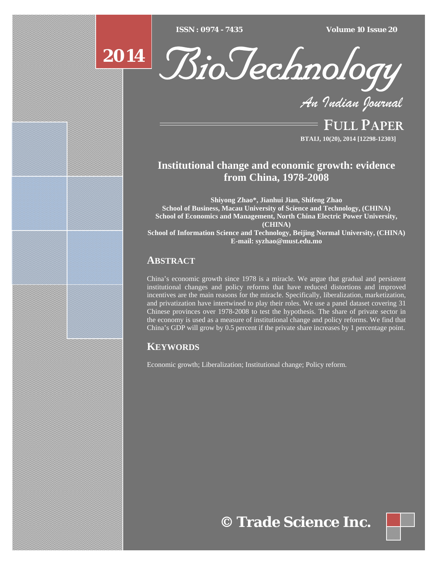$ISSN : 0974 - 7435$ 

*ISSN : 0974 - 7435 Volume 10 Issue 20*





*An Indian Journal*

FULL PAPER **BTAIJ, 10(20), 2014 [12298-12303]**

# **Institutional change and economic growth: evidence from China, 1978-2008**

**Shiyong Zhao\*, Jianhui Jian, Shifeng Zhao School of Business, Macau University of Science and Technology, (CHINA) School of Economics and Management, North China Electric Power University, (CHINA) School of Information Science and Technology, Beijing Normal University, (CHINA) E-mail: syzhao@must.edu.mo**

# **ABSTRACT**

China's economic growth since 1978 is a miracle. We argue that gradual and persistent institutional changes and policy reforms that have reduced distortions and improved incentives are the main reasons for the miracle. Specifically, liberalization, marketization, and privatization have intertwined to play their roles. We use a panel dataset covering 31 Chinese provinces over 1978-2008 to test the hypothesis. The share of private sector in the economy is used as a measure of institutional change and policy reforms. We find that China's GDP will grow by 0.5 percent if the private share increases by 1 percentage point.

# **KEYWORDS**

Economic growth; Liberalization; Institutional change; Policy reform.

**© Trade Science Inc.**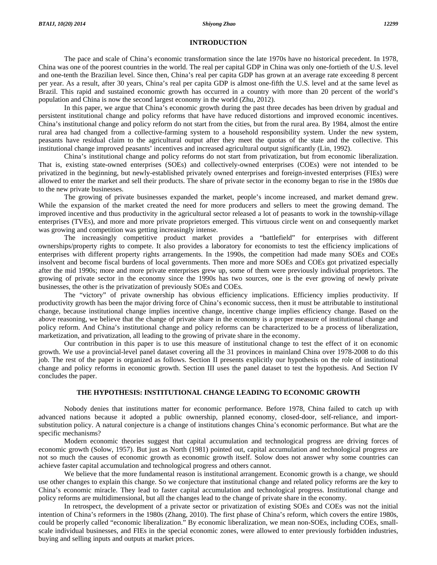# **INTRODUCTION**

 The pace and scale of China's economic transformation since the late 1970s have no historical precedent. In 1978, China was one of the poorest countries in the world. The real per capital GDP in China was only one-fortieth of the U.S. level and one-tenth the Brazilian level. Since then, China's real per capita GDP has grown at an average rate exceeding 8 percent per year. As a result, after 30 years, China's real per capita GDP is almost one-fifth the U.S. level and at the same level as Brazil. This rapid and sustained economic growth has occurred in a country with more than 20 percent of the world's population and China is now the second largest economy in the world (Zhu, 2012).

 In this paper, we argue that China's economic growth during the past three decades has been driven by gradual and persistent institutional change and policy reforms that have have reduced distortions and improved economic incentives. China's institutional change and policy reform do not start from the cities, but from the rural area. By 1984, almost the entire rural area had changed from a collective-farming system to a household responsibility system. Under the new system, peasants have residual claim to the agricultural output after they meet the quotas of the state and the collective. This institutional change improved peasants' incentives and increased agricultural output significantly (Lin, 1992).

 China's institutional change and policy reforms do not start from privatization, but from economic liberalization. That is, existing state-owned enterprises (SOEs) and collectively-owned enterprises (COEs) were not intended to be privatized in the beginning, but newly-established privately owned enterprises and foreign-invested enterprises (FIEs) were allowed to enter the market and sell their products. The share of private sector in the economy began to rise in the 1980s due to the new private businesses.

 The growing of private businesses expanded the market, people's income increased, and market demand grew. While the expansion of the market created the need for more producers and sellers to meet the growing demand. The improved incentive and thus productivity in the agricultural sector released a lot of peasants to work in the township-village enterprises (TVEs), and more and more private proprietors emerged. This virtuous circle went on and consequently market was growing and competition was getting increasingly intense.

 The increasingly competitive product market provides a "battlefield" for enterprises with different ownerships/property rights to compete. It also provides a laboratory for economists to test the efficiency implications of enterprises with different property rights arrangements. In the 1990s, the competition had made many SOEs and COEs insolvent and become fiscal burdens of local governments. Then more and more SOEs and COEs got privatized especially after the mid 1990s; more and more private enterprises grew up, some of them were previously individual proprietors. The growing of private sector in the economy since the 1990s has two sources, one is the ever growing of newly private businesses, the other is the privatization of previously SOEs and COEs.

 The "victory" of private ownership has obvious efficiency implications. Efficiency implies productivity. If productivity growth has been the major driving force of China's economic success, then it must be attributable to institutional change, because institutional change implies incentive change, incentive change implies efficiency change. Based on the above reasoning, we believe that the change of private share in the economy is a proper measure of institutional change and policy reform. And China's institutional change and policy reforms can be characterized to be a process of liberalization, marketization, and privatization, all leading to the growing of private share in the economy.

 Our contribution in this paper is to use this measure of institutional change to test the effect of it on economic growth. We use a provincial-level panel dataset covering all the 31 provinces in mainland China over 1978-2008 to do this job. The rest of the paper is organized as follows. Section II presents explicitly our hypothesis on the role of institutional change and policy reforms in economic growth. Section III uses the panel dataset to test the hypothesis. And Section IV concludes the paper.

# **THE HYPOTHESIS: INSTITUTIONAL CHANGE LEADING TO ECONOMIC GROWTH**

 Nobody denies that institutions matter for economic performance. Before 1978, China failed to catch up with advanced nations because it adopted a public ownership, planned economy, closed-door, self-reliance, and importsubstitution policy. A natural conjecture is a change of institutions changes China's economic performance. But what are the specific mechanisms?

 Modern economic theories suggest that capital accumulation and technological progress are driving forces of economic growth (Solow, 1957). But just as North (1981) pointed out, capital accumulation and technological progress are not so much the causes of economic growth as economic growth itself. Solow does not answer why some countries can achieve faster capital accumulation and technological progress and others cannot.

We believe that the more fundamental reason is institutional arrangement. Economic growth is a change, we should use other changes to explain this change. So we conjecture that institutional change and related policy reforms are the key to China's economic miracle. They lead to faster capital accumulation and technological progress. Institutional change and policy reforms are multidimensional, but all the changes lead to the change of private share in the economy.

 In retrospect, the development of a private sector or privatization of existing SOEs and COEs was not the initial intention of China's reformers in the 1980s (Zhang, 2010). The first phase of China's reform, which covers the entire 1980s, could be properly called "economic liberalization." By economic liberalization, we mean non-SOEs, including COEs, smallscale individual businesses, and FIEs in the special economic zones, were allowed to enter previously forbidden industries, buying and selling inputs and outputs at market prices.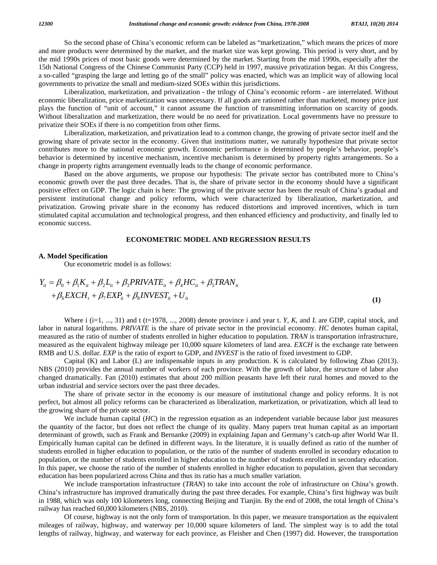So the second phase of China's economic reform can be labeled as "marketization," which means the prices of more and more products were determined by the market, and the market size was kept growing. This period is very short, and by the mid 1990s prices of most basic goods were determined by the market. Starting from the mid 1990s, especially after the 15th National Congress of the Chinese Communist Party (CCP) held in 1997, massive privatization began. At this Congress, a so-called "grasping the large and letting go of the small" policy was enacted, which was an implicit way of allowing local governments to privatize the small and medium-sized SOEs within this jurisdictions.

 Liberalization, marketization, and privatization - the trilogy of China's economic reform - are interrelated. Without economic liberalization, price marketization was unnecessary. If all goods are rationed rather than marketed, money price just plays the function of "unit of account," it cannot assume the function of transmitting information on scarcity of goods. Without liberalization and marketization, there would be no need for privatization. Local governments have no pressure to privatize their SOEs if there is no competition from other firms.

 Liberalization, marketization, and privatization lead to a common change, the growing of private sector itself and the growing share of private sector in the economy. Given that institutions matter, we naturally hypothesize that private sector contributes more to the national economic growth. Economic performance is determined by people's behavior, people's behavior is determined by incentive mechanism, incentive mechanism is determined by property rights arrangements. So a change in property rights arrangement eventually leads to the change of economic performance.

 Based on the above arguments, we propose our hypothesis: The private sector has contributed more to China's economic growth over the past three decades. That is, the share of private sector in the economy should have a significant positive effect on GDP. The logic chain is here: The growing of the private sector has been the result of China's gradual and persistent institutional change and policy reforms, which were characterized by liberalization, marketization, and privatization. Growing private share in the economy has reduced distortions and improved incentives, which in turn stimulated capital accumulation and technological progress, and then enhanced efficiency and productivity, and finally led to economic success.

# **ECONOMETRIC MODEL AND REGRESSION RESULTS**

### **A. Model Specification**

Our econometric model is as follows:

$$
Y_{it} = \beta_0 + \beta_1 K_{it} + \beta_2 L_{it} + \beta_3 PRIVATE_{it} + \beta_4 HC_{it} + \beta_5 TRAN_{it}
$$
  
+  $\beta_6 EXCH_t + \beta_7 EXP_{it} + \beta_8 INVEST_{it} + U_{it}$  (1)

Where i  $(i=1, ..., 31)$  and t  $(t=1978, ..., 2008)$  denote province i and year t. *Y*, *K*, and *L* are GDP, capital stock, and labor in natural logarithms. *PRIVATE* is the share of private sector in the provincial economy. *HC* denotes human capital, measured as the ratio of number of students enrolled in higher education to population. *TRAN* is transportation infrastructure, measured as the equivalent highway mileage per 10,000 square kilometers of land area. *EXCH* is the exchange rate between RMB and U.S. dollar. *EXP* is the ratio of export to GDP, and *INVEST* is the ratio of fixed investment to GDP.

 Capital (K) and Labor (L) are indispensable inputs in any production. K is calculated by following Zhao (2013). NBS (2010) provides the annual number of workers of each province. With the growth of labor, the structure of labor also changed dramatically. Fan (2010) estimates that about 200 million peasants have left their rural homes and moved to the urban industrial and service sectors over the past three decades.

 The share of private sector in the economy is our measure of institutional change and policy reforms. It is not perfect, but almost all policy reforms can be characterized as liberalization, marketization, or privatization, which all lead to the growing share of the private sector.

 We include human capital (*HC*) in the regression equation as an independent variable because labor just measures the quantity of the factor, but does not reflect the change of its quality. Many papers treat human capital as an important determinant of growth, such as Frank and Bernanke (2009) in explaining Japan and Germany's catch-up after World War II. Empirically human capital can be defined in different ways. In the literature, it is usually defined as ratio of the number of students enrolled in higher education to population, or the ratio of the number of students enrolled in secondary education to population, or the number of students enrolled in higher education to the number of students enrolled in secondary education. In this paper, we choose the ratio of the number of students enrolled in higher education to population, given that secondary education has been popularized across China and thus its ratio has a much smaller variation.

 We include transportation infrastructure (*TRAN*) to take into account the role of infrastructure on China's growth. China's infrastructure has improved dramatically during the past three decades. For example, China's first highway was built in 1988, which was only 100 kilometers long, connecting Beijing and Tianjin. By the end of 2008, the total length of China's railway has reached 60,000 kilometers (NBS, 2010).

 Of course, highway is not the only form of transportation. In this paper, we measure transportation as the equivalent mileages of railway, highway, and waterway per 10,000 square kilometers of land. The simplest way is to add the total lengths of railway, highway, and waterway for each province, as Fleisher and Chen (1997) did. However, the transportation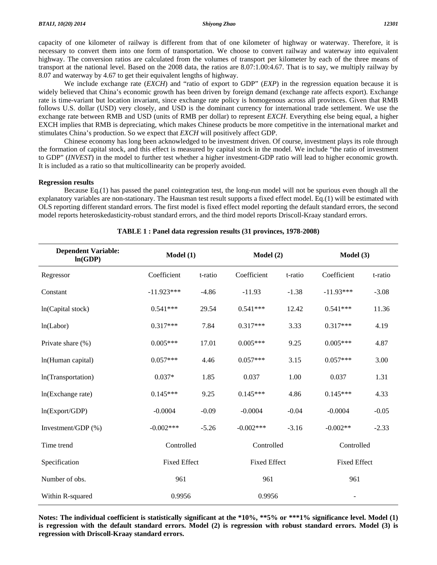capacity of one kilometer of railway is different from that of one kilometer of highway or waterway. Therefore, it is necessary to convert them into one form of transportation. We choose to convert railway and waterway into equivalent highway. The conversion ratios are calculated from the volumes of transport per kilometer by each of the three means of transport at the national level. Based on the 2008 data, the ratios are 8.07:1.00:4.67. That is to say, we multiply railway by 8.07 and waterway by 4.67 to get their equivalent lengths of highway.

 We include exchange rate (*EXCH*) and "ratio of export to GDP" (*EXP*) in the regression equation because it is widely believed that China's economic growth has been driven by foreign demand (exchange rate affects export). Exchange rate is time-variant but location invariant, since exchange rate policy is homogenous across all provinces. Given that RMB follows U.S. dollar (USD) very closely, and USD is the dominant currency for international trade settlement. We use the exchange rate between RMB and USD (units of RMB per dollar) to represent *EXCH*. Everything else being equal, a higher EXCH implies that RMB is depreciating, which makes Chinese products be more competitive in the international market and stimulates China's production. So we expect that *EXCH* will positively affect GDP.

 Chinese economy has long been acknowledged to be investment driven. Of course, investment plays its role through the formation of capital stock, and this effect is measured by capital stock in the model. We include "the ratio of investment to GDP" (*INVEST*) in the model to further test whether a higher investment-GDP ratio will lead to higher economic growth. It is included as a ratio so that multicollinearity can be properly avoided.

## **Regression results**

 Because Eq.(1) has passed the panel cointegration test, the long-run model will not be spurious even though all the explanatory variables are non-stationary. The Hausman test result supports a fixed effect model. Eq.(1) will be estimated with OLS reporting different standard errors. The first model is fixed effect model reporting the default standard errors, the second model reports heteroskedasticity-robust standard errors, and the third model reports Driscoll-Kraay standard errors.

| <b>Dependent Variable:</b><br>ln(GDP) | Model(1)            |         | Model(2)            |         | Model (3)           |         |
|---------------------------------------|---------------------|---------|---------------------|---------|---------------------|---------|
| Regressor                             | Coefficient         | t-ratio | Coefficient         | t-ratio | Coefficient         | t-ratio |
| Constant                              | $-11.923***$        | $-4.86$ | $-11.93$            | $-1.38$ | $-11.93***$         | $-3.08$ |
| ln(Capital stock)                     | $0.541***$          | 29.54   | $0.541***$          | 12.42   | $0.541***$          | 11.36   |
| ln(Labor)                             | $0.317***$          | 7.84    | $0.317***$          | 3.33    | $0.317***$          | 4.19    |
| Private share (%)                     | $0.005***$          | 17.01   | $0.005***$          | 9.25    | $0.005***$          | 4.87    |
| ln(Human capital)                     | $0.057***$          | 4.46    | $0.057***$          | 3.15    | $0.057***$          | 3.00    |
| In(Transportation)                    | $0.037*$            | 1.85    | 0.037               | 1.00    | 0.037               | 1.31    |
| ln(Exchange rate)                     | $0.145***$          | 9.25    | $0.145***$          | 4.86    | $0.145***$          | 4.33    |
| ln(Export/GDP)                        | $-0.0004$           | $-0.09$ | $-0.0004$           | $-0.04$ | $-0.0004$           | $-0.05$ |
| Investment/GDP (%)                    | $-0.002***$         | $-5.26$ | $-0.002***$         | $-3.16$ | $-0.002**$          | $-2.33$ |
| Time trend                            | Controlled          |         | Controlled          |         | Controlled          |         |
| Specification                         | <b>Fixed Effect</b> |         | <b>Fixed Effect</b> |         | <b>Fixed Effect</b> |         |
| Number of obs.                        | 961                 |         | 961                 |         | 961                 |         |
| Within R-squared                      | 0.9956              |         | 0.9956              |         |                     |         |

## **TABLE 1 : Panel data regression results (31 provinces, 1978-2008)**

**Notes: The individual coefficient is statistically significant at the \*10%, \*\*5% or \*\*\*1% significance level. Model (1) is regression with the default standard errors. Model (2) is regression with robust standard errors. Model (3) is regression with Driscoll-Kraay standard errors.**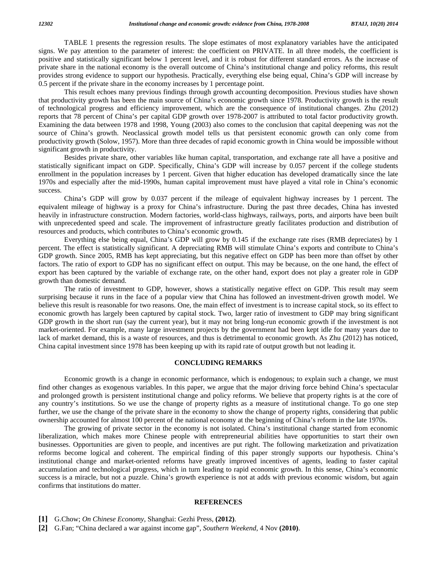TABLE 1 presents the regression results. The slope estimates of most explanatory variables have the anticipated signs. We pay attention to the parameter of interest: the coefficient on PRIVATE. In all three models, the coefficient is positive and statistically significant below 1 percent level, and it is robust for different standard errors. As the increase of private share in the national economy is the overall outcome of China's institutional change and policy reforms, this result provides strong evidence to support our hypothesis. Practically, everything else being equal, China's GDP will increase by 0.5 percent if the private share in the economy increases by 1 percentage point.

 This result echoes many previous findings through growth accounting decomposition. Previous studies have shown that productivity growth has been the main source of China's economic growth since 1978. Productivity growth is the result of technological progress and efficiency improvement, which are the consequence of institutional changes. Zhu (2012) reports that 78 percent of China's per capital GDP growth over 1978-2007 is attributed to total factor productivity growth. Examining the data between 1978 and 1998, Young (2003) also comes to the conclusion that capital deepening was *no*t the source of China's growth. Neoclassical growth model tells us that persistent economic growth can only come from productivity growth (Solow, 1957). More than three decades of rapid economic growth in China would be impossible without significant growth in productivity.

 Besides private share, other variables like human capital, transportation, and exchange rate all have a positive and statistically significant impact on GDP. Specifically, China's GDP will increase by 0.057 percent if the college students enrollment in the population increases by 1 percent. Given that higher education has developed dramatically since the late 1970s and especially after the mid-1990s, human capital improvement must have played a vital role in China's economic success.

 China's GDP will grow by 0.037 percent if the mileage of equivalent highway increases by 1 percent. The equivalent mileage of highway is a proxy for China's infrastructure. During the past three decades, China has invested heavily in infrastructure construction. Modern factories, world-class highways, railways, ports, and airports have been built with unprecedented speed and scale. The improvement of infrastructure greatly facilitates production and distribution of resources and products, which contributes to China's economic growth.

 Everything else being equal, China's GDP will grow by 0.145 if the exchange rate rises (RMB depreciates) by 1 percent. The effect is statistically significant. A depreciating RMB will stimulate China's exports and contribute to China's GDP growth. Since 2005, RMB has kept appreciating, but this negative effect on GDP has been more than offset by other factors. The ratio of export to GDP has no significant effect on output. This may be because, on the one hand, the effect of export has been captured by the variable of exchange rate, on the other hand, export does not play a greater role in GDP growth than domestic demand.

 The ratio of investment to GDP, however, shows a statistically negative effect on GDP. This result may seem surprising because it runs in the face of a popular view that China has followed an investment-driven growth model. We believe this result is reasonable for two reasons. One, the main effect of investment is to increase capital stock, so its effect to economic growth has largely been captured by capital stock. Two, larger ratio of investment to GDP may bring significant GDP growth in the short run (say the current year), but it may not bring long-run economic growth if the investment is not market-oriented. For example, many large investment projects by the government had been kept idle for many years due to lack of market demand, this is a waste of resources, and thus is detrimental to economic growth. As Zhu (2012) has noticed, China capital investment since 1978 has been keeping up with its rapid rate of output growth but not leading it.

# **CONCLUDING REMARKS**

 Economic growth is a change in economic performance, which is endogenous; to explain such a change, we must find other changes as exogenous variables. In this paper, we argue that the major driving force behind China's spectacular and prolonged growth is persistent institutional change and policy reforms. We believe that property rights is at the core of any country's institutions. So we use the change of property rights as a measure of institutional change. To go one step further, we use the change of the private share in the economy to show the change of property rights, considering that public ownership accounted for almost 100 percent of the national economy at the beginning of China's reform in the late 1970s.

 The growing of private sector in the economy is not isolated. China's institutional change started from economic liberalization, which makes more Chinese people with entrepreneurial abilities have opportunities to start their own businesses. Opportunities are given to people, and incentives are put right. The following marketization and privatization reforms become logical and coherent. The empirical finding of this paper strongly supports our hypothesis. China's institutional change and market-oriented reforms have greatly improved incentives of agents, leading to faster capital accumulation and technological progress, which in turn leading to rapid economic growth. In this sense, China's economic success is a miracle, but not a puzzle. China's growth experience is not at adds with previous economic wisdom, but again confirms that institutions do matter.

## **REFERENCES**

- **[1]** G.Chow; *On Chinese Economy*, Shanghai: Gezhi Press, **(2012)**.
- **[2]** G.Fan; "China declared a war against income gap", *Southern Weekend*, 4 Nov **(2010)**.